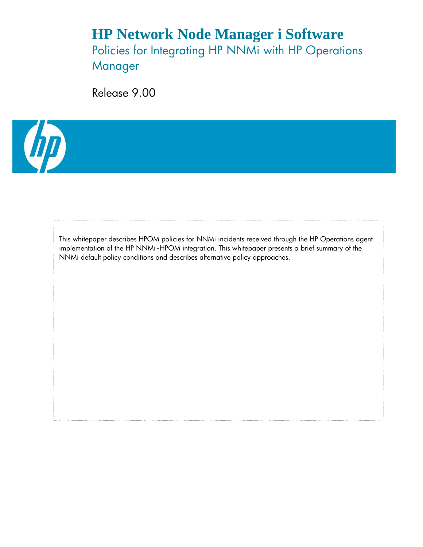# **HP Network Node Manager i Software** Policies for Integrating HP NNMi with HP Operations Manager

Release 9.00



This whitepaper describes HPOM policies for NNMi incidents received through the HP Operations agent implementation of the HP NNMi-HPOM integration. This whitepaper presents a brief summary of the NNMi default policy conditions and describes alternative policy approaches.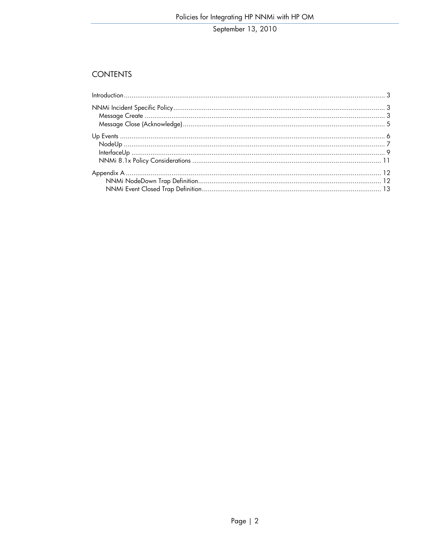### **CONTENTS**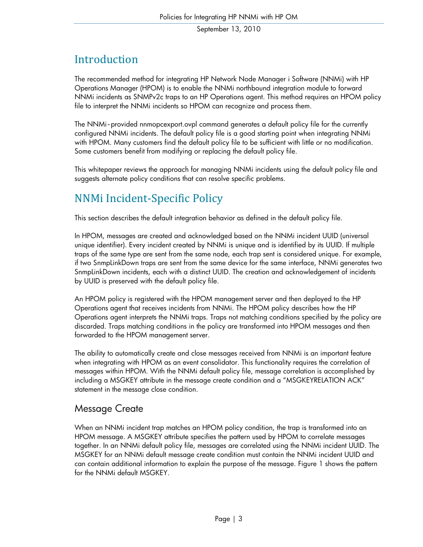# <span id="page-2-0"></span>Introduction

The recommended method for integrating HP Network Node Manager i Software (NNMi) with HP Operations Manager (HPOM) is to enable the NNMi northbound integration module to forward NNMi incidents as SNMPv2c traps to an HP Operations agent. This method requires an HPOM policy file to interpret the NNMi incidents so HPOM can recognize and process them.

The NNMi-provided nnmopcexport.ovpl command generates a default policy file for the currently configured NNMi incidents. The default policy file is a good starting point when integrating NNMi with HPOM. Many customers find the default policy file to be sufficient with little or no modification. Some customers benefit from modifying or replacing the default policy file.

This whitepaper reviews the approach for managin g NNMi incidents using the default policy file and suggests alternate policy conditions that can resolv e specific problems.

# <span id="page-2-1"></span>NNMi Incident‐Specific Policy

This section describes the default integration behavior as defined in the default policy file.

In HPOM, messages are created and acknowledged based on the NNMi incident UUID (universal unique identifier). Every incident created by NNMi is unique and is identified by its UUID. If multiple traps of the same type are sent from the same node, each trap sent is considered unique. For example, if two SnmpLinkDown traps are sent from the same device for the same interface, NNMi generates two SnmpLinkDown incidents, each with a distinct UUID. The creation and acknowledgement of incidents by UUID is preserved with the default policy file.

An HPOM policy is registered with the HPOM management server and then deployed to the HP Operations agent that receives incidents from NNMi. The HPOM policy describes how the HP Operations agent interprets the NNMi traps. Traps not matching conditions specified by the policy are discarded. Traps matching conditions in the policy are transformed into HPOM messages and then forwarded to the HPOM management server.

The ability to automatically create and close messages received from NNMi is an important feature when integrating with HPOM as an event consolidator. This functionality requires the correlation of messages within HPOM. With the NNMi default policy file, message correlation is accomplished by including a MSGKEY attribute in the message create condition and a "MSGKEYRELATION ACK" statement in the message close condition.

### <span id="page-2-2"></span>Message Create

When an NNMi incident trap matches an HPOM policy condition, the trap is transformed into an HPOM message. A MSGKEY attribute specifies the pattern used by HPOM to correlate messages together. In an NNMi default policy file, messages are correlated using the NNMi incident UUID. The MSGKEY for an NNMi default message create condition must contain the NNMi incident UUID and can contain additional information to explain the purpose of the message. [Figure 1](#page-3-1) shows the pattern for the NNMi default MSGKEY.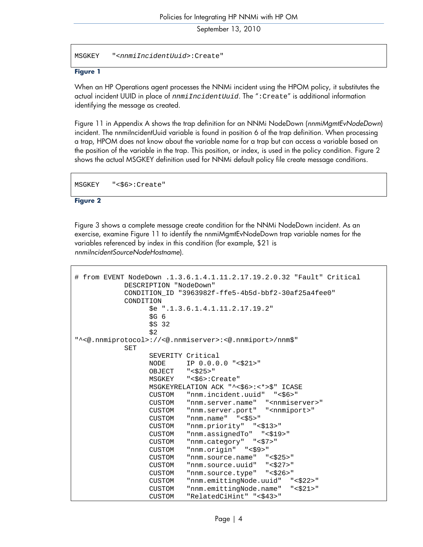MSGKEY "<*nnmiIncidentUuid*>:Create"

#### <span id="page-3-1"></span>**Figure 1**

When an HP Operations agent processes the NNMi incident using the HPOM policy, it substitutes the actual incident UUID in place of *nnmiIncidentUuid*. The ":Create" is additional information identifying the message as created.

<span id="page-3-0"></span>[Figure 11](#page-11-2) in [Appendix A](#page-11-0) shows the trap definition for an NNMi NodeDown (*nnmiMgmtEvNodeDown*) incident. The nnmiIncidentUuid variable is found in position 6 of the trap definition. When processing a trap, HPOM does not know about the variable name for a trap but can access a variable based on the position of the variable in the trap. This position, or index, is used in the policy condition. [Figure 2](#page-3-2) shows the actual MSGKEY definition used for NNMi default policy file create message conditions.

MSGKEY "<\$6>:Create"

#### <span id="page-3-2"></span>**Figure 2**

[Figure 3](#page-4-0) shows a complete message create condition for the NNMi NodeDown incident. As an exercise, examine [Figure 11](#page-11-2) to identify the nnmiMgmtEvNodeDown trap variable names for the variables referenced by index in this condition (for example, \$21 is *nnmiIncidentSourceNodeHostname*).

```
# from EVENT NodeDown .1.3.6.1.4.1.11.2.17.19.2.0.32 "Fault" Critical 
                DESCRIPTION "NodeDown" 
                CONDITION_ID "3963982f-ffe5-4b5d-bbf2-30af25a4fee0" 
               CONDITION
                        $e ".1.3.6.1.4.1.11.2.17.19.2" 
                       $G<sub>6</sub> $S 32 
\frac{1}{2} \frac{1}{2} \frac{1}{2} \frac{1}{2} \frac{1}{2} \frac{1}{2} \frac{1}{2} \frac{1}{2} \frac{1}{2} \frac{1}{2} \frac{1}{2} \frac{1}{2} \frac{1}{2} \frac{1}{2} \frac{1}{2} \frac{1}{2} \frac{1}{2} \frac{1}{2} \frac{1}{2} \frac{1}{2} \frac{1}{2} \frac{1}{2} "^<@.nnmiprotocol>://<@.nnmiserver>:<@.nnmiport>/nnm$" 
                SET 
                        SEVERITY Critical 
                       NODE IP 0.0.0.0 "<$21>" 
                        OBJECT "<$25>" 
                        MSGKEY "<$6>:Create" 
                        MSGKEYRELATION ACK "^<$6>:<*>$" ICASE 
                        CUSTOM "nnm.incident.uuid" "<$6>" 
                       CUSTOM "nnm.server.name" "<nnmiserver>"
                        CUSTOM "nnm.server.port" "<nnmiport>" 
                        CUSTOM "nnm.name" "<$5>" 
                        CUSTOM "nnm.priority" "<$13>" 
                        CUSTOM "nnm.assignedTo" "<$19>" 
                        CUSTOM "nnm.category" "<$7>" 
                        CUSTOM "nnm.origin" "<$9>" 
                        CUSTOM "nnm.source.name" "<$25>" 
                        CUSTOM "nnm.source.uuid" "<$27>" 
                        CUSTOM "nnm.source.type" "<$26>" 
                        CUSTOM "nnm.emittingNode.uuid" "<$22>" 
                        CUSTOM "nnm.emittingNode.name" "<$21>" 
                       CUSTOM "RelatedCiHint" "<$43>"
```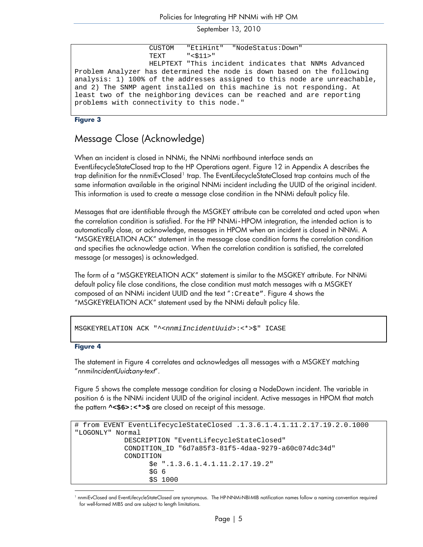```
 CUSTOM "EtiHint" "NodeStatus:Down" 
                   TEXT "<$11>" 
                   HELPTEXT "This incident indicates that NNMs Advanced 
Problem Analyzer has determined the node is down based on the following 
analysis: 1) 100% of the addresses assigned to this node are unreachable, 
and 2) The SNMP agent installed on this machine is not responding. At 
least two of the neighboring devices can be reached and are reporting 
problems with connectivity to this node."
```
<span id="page-4-0"></span>**Figure 3** 

### Message Close (Acknowledge)

When an incident is closed in NNMi, the NNMi northbound interface sends an EventLifecycleStateClosed trap to the HP Operations agent. [Figure 12](#page-12-1) in [Appendix A](#page-11-0) describes the trap definition for the nnmiEvClosed<sup>[1](#page-4-1)</sup> trap. The EventLifecycleStateClosed trap contains much of the same information available in the original NNMi incident including the UUID of the original incident. This information is used to create a message close condition in the NNMi default policy file.

Messages that are identifiable through the MSGKEY attribute can be correlated and acted upon when the correlation condition is satisfied. For the HP NNMi-HPOM integration, the intended action is to automatically close, or acknowledge, messages in HPOM when an incident is closed in NNMi. A "MSGKEYRELATION ACK" statement in the message close condition forms the correlation condition and specifies the acknowledge action. When the correlation condition is satisfied, the correlated message (or messages) is acknowledged.

The form of a "MSGKEYRELATION ACK" statement is similar to the MSGKEY attribute. For NNMi default policy file close conditions, the close condition must match messages with a MSGKEY composed of an NNMi incident UUID and the text ":Create". [Figure 4](#page-4-2) shows the "MSGKEYRELATION ACK" statement used by the NNMi default policy file.

```
MSGKEYRELATION ACK "^<nnmiIncidentUuid>:<*>$" ICASE
```
#### <span id="page-4-2"></span>**Figure 4**

The statement in [Figure 4](#page-4-2) correlates and acknowledges all messages with a MSGKEY matching "*nnmiIncidentUuid***:***any-text*".

[Figure 5](#page-5-1) shows the complete message condition for closing a NodeDown incident. The variable in position 6 is the NNMi incident UUID of the original incident. Active messages in HPOM that match the pattern **^<\$6>:<\*>\$** are closed on receipt of this message.

```
# from EVENT EventLifecycleStateClosed .1.3.6.1.4.1.11.2.17.19.2.0.1000 
"LOGONLY" Normal 
              DESCRIPTION "EventLifecycleStateClosed" 
              CONDITION_ID "6d7a85f3-81f5-4daa-9279-a60c074dc34d" 
              CONDITION 
                     $e ".1.3.6.1.4.1.11.2.17.19.2" 
                    $G<sub>6</sub> $S 1000
```
<span id="page-4-1"></span><sup>1</sup> 1 nnmiEvClosed and EventLifecycleStateClosed are synonymous. The HP-NNMi-NBI-MIB notification names follow a naming convention required for well-formed MIBS and are subject to length limitations.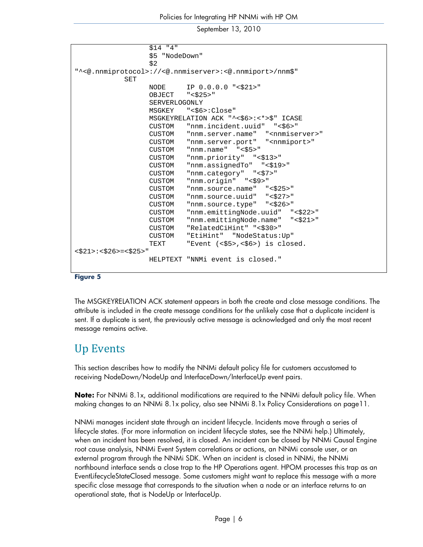```
 $14 "4" 
                    $5 "NodeDown" 
\frac{1}{2} \frac{1}{2}"^<@.nnmiprotocol>://<@.nnmiserver>:<@.nnmiport>/nnm$" 
              SET 
                    NODE IP 0.0.0.0 "<$21>" 
                    OBJECT "<$25>" 
                    SERVERLOGONLY 
                    MSGKEY "<$6>:Close" 
                    MSGKEYRELATION ACK "^<$6>:<*>$" ICASE 
                    CUSTOM "nnm.incident.uuid" "<$6>" 
                   CUSTOM "nnm.server.name" "<nnmiserver>"
                   CUSTOM "nnm.server.port" "<nnmiport>"<br>CUSTOM "nnm.name" "<$5>"
                             "nnm.name" "<\s$5>" CUSTOM "nnm.priority" "<$13>" 
                    CUSTOM "nnm.assignedTo" "<$19>" 
                    CUSTOM "nnm.category" "<$7>" 
                    CUSTOM "nnm.origin" "<$9>" 
                    CUSTOM "nnm.source.name" "<$25>" 
                   CUSTOM "nnm.source.uuid" "<$27>"<br>CUSTOM "nnm.source.type" "<$26>"
                            "nnm.source.type" "<$26>"
                    CUSTOM "nnm.emittingNode.uuid" "<$22>" 
                    CUSTOM "nnm.emittingNode.name" "<$21>" 
                    CUSTOM "RelatedCiHint" "<$30>" 
                    CUSTOM "EtiHint" "NodeStatus:Up" 
                    TEXT "Event (<$5>,<$6>) is closed. 
<$21>:<$26>=<$25>"
                    HELPTEXT "NNMi event is closed."
```
#### <span id="page-5-1"></span>**Figure 5**

The MSGKEYRELATION ACK statement appears in both the create and close message conditions. The attribute is included in the create message conditions for the unlikely case that a duplicate incident is sent. It a duplicate is sent, the previously active message is acknowledged and only the most recent message remains active.

### <span id="page-5-0"></span>Up Events

This section describes how to modify the NNMi default policy file for customers accustomed to receiving NodeDown/NodeUp and InterfaceDown/InterfaceUp event pairs.

**Note:** For NNMi 8.1x, additional modifications are required to the NNMi default policy file. When making changes to an NNMi 8.1x policy, also see [NNMi 8.1x Policy Considerations](#page-10-0) on page[11](#page-10-0).

NNMi manages incident state through an incident lifecycle. Incidents move through a series of lifecycle states. (For more information on incident lifecycle states, see the NNMi help.) Ultimately, when an incident has been resolved, it is closed. An incident can be closed by NNMi Causal Engine root cause analysis, NNMi Event System correlations or actions, an NNMi console user, or an external program through the NNMi SDK. When an incident is closed in NNMi, the NNMi northbound interface sends a close trap to the HP Operations agent. HPOM processes this trap as an EventLifecycleStateClosed message. Some customers might want to replace this message with a more specific close message that corresponds to the situation when a node or an interface returns to an operational state, that is NodeUp or InterfaceUp.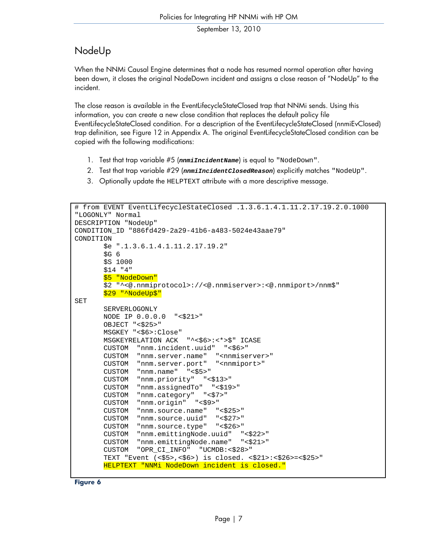### <span id="page-6-0"></span>NodeUp

When the NNMi Causal Engine determines that a node has resumed normal operation after having been down, it closes the original NodeDown incident and assigns a close reason of "NodeUp" to the incident.

The close reason is available in the EventLifecycleStateClosed trap that NNMi sends. Using this information, you can create a new close condition that replaces the default policy file EventLifecycleStateClosed condition. For a description of the EventLifecycleStateClosed (nnmiEvClosed) trap definition, see [Figure 12](#page-11-3) in [Appendix A.](#page-11-0) The original EventLifecycleStateClosed condition can be copied with the following modifications:

- 1. Test that trap variable #5 (*nnmiIncidentName*) is equal to "NodeDown".
- 2. Test that trap variable #29 (*nnmiIncidentClosedReason*) explicitly matches "NodeUp".
- 3. Optionally update the HELPTEXT attribute with a more descriptive message.

```
# from EVENT EventLifecycleStateClosed .1.3.6.1.4.1.11.2.17.19.2.0.1000 
"LOGONLY" Normal 
DESCRIPTION "NodeUp" 
CONDITION_ID "886fd429-2a29-41b6-a483-5024e43aae79" 
CONDITION
        $e ".1.3.6.1.4.1.11.2.17.19.2" 
        $G 6 
        $S 1000 
        $14 "4" 
       $5 "NodeDown"
        $2 "^<@.nnmiprotocol>://<@.nnmiserver>:<@.nnmiport>/nnm$" 
       $29 "^NodeUp$"
SET 
        SERVERLOGONLY 
        NODE IP 0.0.0.0 "<$21>" 
        OBJECT "<$25>" 
        MSGKEY "<$6>:Close" 
        MSGKEYRELATION ACK "^<$6>:<*>$" ICASE 
        CUSTOM "nnm.incident.uuid" "<$6>" 
        CUSTOM "nnm.server.name" "<nnmiserver>" 
        CUSTOM "nnm.server.port" "<nnmiport>" 
 CUSTOM "nnm.name" "<$5>" 
 CUSTOM "nnm.priority" "<$13>" 
        CUSTOM "nnm.assignedTo" "<$19>" 
        CUSTOM "nnm.category" "<$7>" 
        CUSTOM "nnm.origin" "<$9>" 
        CUSTOM "nnm.source.name" "<$25>" 
        CUSTOM "nnm.source.uuid" "<$27>" 
        CUSTOM "nnm.source.type" "<$26>" 
        CUSTOM "nnm.emittingNode.uuid" "<$22>" 
        CUSTOM "nnm.emittingNode.name" "<$21>" 
        CUSTOM "OPR_CI_INFO" "UCMDB:<$28>" 
        TEXT "Event (<$5>,<$6>) is closed. <$21>:<$26>=<$25>" 
        HELPTEXT "NNMi NodeDown incident is closed."
```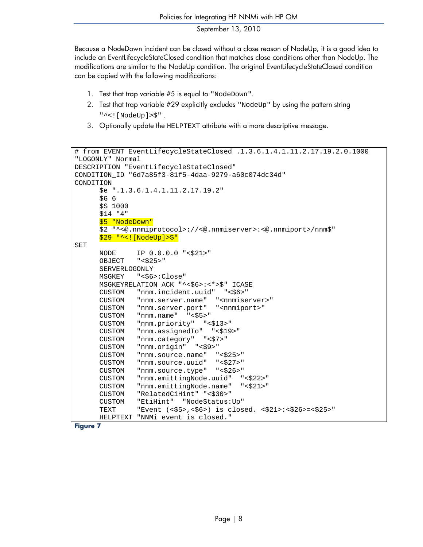Because a NodeDown incident can be closed without a close reason of NodeUp, it is a good idea to include an EventLifecycleStateClosed condition that matches close conditions other than NodeUp. The modifications are similar to the NodeUp condition. The original EventLifecycleStateClosed condition can be copied with the following modifications:

- 1. Test that trap variable #5 is equal to "NodeDown".
- 2. Test that trap variable #29 explicitly excludes "NodeUp" by using the pattern string "^<![NodeUp]>\$" .
- 3. Optionally update the HELPTEXT attribute with a more descriptive message.

```
# from EVENT EventLifecycleStateClosed .1.3.6.1.4.1.11.2.17.19.2.0.1000 
"LOGONLY" Normal 
DESCRIPTION "EventLifecycleStateClosed" 
CONDITION_ID "6d7a85f3-81f5-4daa-9279-a60c074dc34d" 
CONDITION 
       $e ".1.3.6.1.4.1.11.2.17.19.2" 
      $G<sub>6</sub> $S 1000 
       $14 "4" 
       $5 "NodeDown" 
       $2 "^<@.nnmiprotocol>://<@.nnmiserver>:<@.nnmiport>/nnm$" 
       $29 "^<![NodeUp]>$" 
SET 
       NODE IP 0.0.0.0 "<$21>" 
       OBJECT "<$25>" 
       SERVERLOGONLY 
       MSGKEY "<$6>:Close" 
       MSGKEYRELATION ACK "^<$6>:<*>$" ICASE 
       CUSTOM "nnm.incident.uuid" "<$6>" 
      CUSTOM "nnm.server.name" "<nnmiserver>"
       CUSTOM "nnm.server.port" "<nnmiport>" 
       CUSTOM "nnm.name" "<$5>" 
       CUSTOM "nnm.priority" "<$13>" 
       CUSTOM "nnm.assignedTo" "<$19>" 
       CUSTOM "nnm.category" "<$7>" 
       CUSTOM "nnm.origin" "<$9>" 
       CUSTOM "nnm.source.name" "<$25>" 
       CUSTOM "nnm.source.uuid" "<$27>" 
       CUSTOM "nnm.source.type" "<$26>" 
       CUSTOM "nnm.emittingNode.uuid" "<$22>" 
       CUSTOM "nnm.emittingNode.name" "<$21>" 
       CUSTOM "RelatedCiHint" "<$30>" 
       CUSTOM "EtiHint" "NodeStatus:Up" 
       TEXT "Event (<$5>,<$6>) is closed. <$21>:<$26>=<$25>" 
       HELPTEXT "NNMi event is closed."
```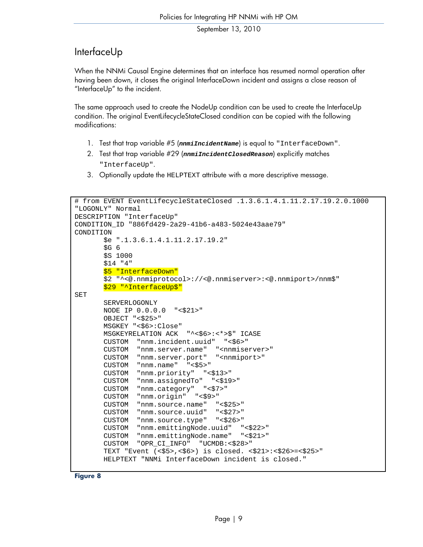### InterfaceUp

When the NNMi Causal Engine determines that an interface has resumed normal operation after having been down, it closes the original InterfaceDown incident and assigns a close reason of "InterfaceUp" to the incident.

The same approach used to create the NodeUp condition can be used to create the InterfaceUp condition. The original EventLifecycleStateClosed condition can be copied with the following modifications:

- 1. Test that trap variable #5 (*nnmiIncidentName*) is equal to "InterfaceDown".
- 2. Test that trap variable #29 (*nnmiIncidentClosedReason*) explicitly matches "InterfaceUp".
- 3. Optionally update the HELPTEXT attribute with a more descriptive message.

```
# from EVENT EventLifecycleStateClosed .1.3.6.1.4.1.11.2.17.19.2.0.1000 
"LOGONLY" Normal 
DESCRIPTION "InterfaceUp" 
CONDITION_ID "886fd429-2a29-41b6-a483-5024e43aae79" 
CONDITION 
        $e ".1.3.6.1.4.1.11.2.17.19.2" 
       $G<sub>6</sub> $S 1000 
        $14 "4" 
       $5 "InterfaceDown"
        $2 "^<@.nnmiprotocol>://<@.nnmiserver>:<@.nnmiport>/nnm$" 
        $29 "^InterfaceUp$" 
SET 
        SERVERLOGONLY 
        NODE IP 0.0.0.0 "<$21>" 
        OBJECT "<$25>" 
        MSGKEY "<$6>:Close" 
        MSGKEYRELATION ACK "^<$6>:<*>$" ICASE 
        CUSTOM "nnm.incident.uuid" "<$6>" 
        CUSTOM "nnm.server.name" "<nnmiserver>" 
        CUSTOM "nnm.server.port" "<nnmiport>" 
        CUSTOM "nnm.name" "<$5>" 
        CUSTOM "nnm.priority" "<$13>" 
        CUSTOM "nnm.assignedTo" "<$19>" 
        CUSTOM "nnm.category" "<$7>" 
        CUSTOM "nnm.origin" "<$9>" 
       CUSTOM "nnm.source.name" "<$25>"<br>CUSTOM "nnm.source.uuid" "<$27>"
       CUSTOM "nnm.source.uuid"
        CUSTOM "nnm.source.type" "<$26>" 
        CUSTOM "nnm.emittingNode.uuid" "<$22>" 
        CUSTOM "nnm.emittingNode.name" "<$21>" 
        CUSTOM "OPR_CI_INFO" "UCMDB:<$28>" 
        TEXT "Event (<$5>,<$6>) is closed. <$21>:<$26>=<$25>" 
        HELPTEXT "NNMi InterfaceDown incident is closed."
```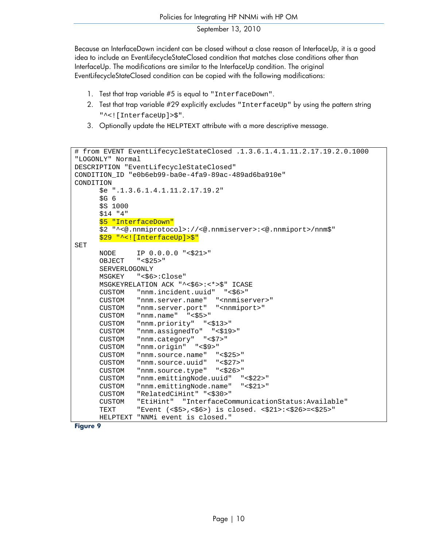Because an InterfaceDown incident can be closed without a close reason of InterfaceUp, it is a good idea to include an EventLifecycleStateClosed condition that matches close conditions other than InterfaceUp. The modifications are similar to the InterfaceUp condition. The original EventLifecycleStateClosed condition can be copied with the following modifications:

- 1. Test that trap variable #5 is equal to "InterfaceDown".
- 2. Test that trap variable #29 explicitly excludes "InterfaceUp" by using the pattern string "^<![InterfaceUp]>\$".
- 3. Optionally update the HELPTEXT attribute with a more descriptive message.

```
# from EVENT EventLifecycleStateClosed .1.3.6.1.4.1.11.2.17.19.2.0.1000 
"LOGONLY" Normal 
DESCRIPTION "EventLifecycleStateClosed" 
CONDITION_ID "e0b6eb99-ba0e-4fa9-89ac-489ad6ba910e" 
CONDITION 
       $e ".1.3.6.1.4.1.11.2.17.19.2" 
      $G<sub>6</sub> $S 1000 
       $14 "4" 
       $5 "InterfaceDown" 
       $2 "^<@.nnmiprotocol>://<@.nnmiserver>:<@.nnmiport>/nnm$" 
       $29 "^<![InterfaceUp]>$" 
SET 
       NODE IP 0.0.0.0 "<$21>" 
       OBJECT "<$25>" 
       SERVERLOGONLY 
       MSGKEY "<$6>:Close" 
       MSGKEYRELATION ACK "^<$6>:<*>$" ICASE 
       CUSTOM "nnm.incident.uuid" "<$6>" 
      CUSTOM "nnm.server.name" "<nnmiserver>"
       CUSTOM "nnm.server.port" "<nnmiport>" 
       CUSTOM "nnm.name" "<$5>" 
       CUSTOM "nnm.priority" "<$13>" 
       CUSTOM "nnm.assignedTo" "<$19>" 
      CUSTOM "nnm.category" "<$7>" 
       CUSTOM "nnm.origin" "<$9>" 
       CUSTOM "nnm.source.name" "<$25>" 
       CUSTOM "nnm.source.uuid" "<$27>" 
       CUSTOM "nnm.source.type" "<$26>" 
       CUSTOM "nnm.emittingNode.uuid" "<$22>" 
       CUSTOM "nnm.emittingNode.name" "<$21>" 
       CUSTOM "RelatedCiHint" "<$30>" 
       CUSTOM "EtiHint" "InterfaceCommunicationStatus:Available" 
       TEXT "Event (<$5>,<$6>) is closed. <$21>:<$26>=<$25>" 
       HELPTEXT "NNMi event is closed."
```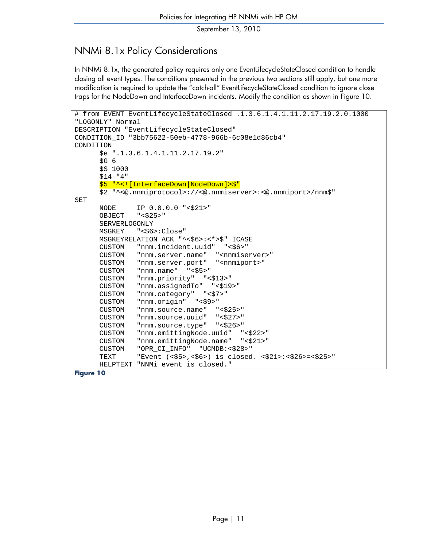### <span id="page-10-0"></span>NNMi 8.1x Policy Considerations

In NNMi 8.1x, the generated policy requires only one EventLifecycleStateClosed condition to handle closing all event types. The conditions presented in the previous two sections still apply, but one more modification is required to update the "catch-all" EventLifecycleStateClosed condition to ignore close traps for the NodeDown and InterfaceDown incidents. Modify the condition as shown in [Figure 10](#page-10-1).

```
# from EVENT EventLifecycleStateClosed .1.3.6.1.4.1.11.2.17.19.2.0.1000 
"LOGONLY" Normal 
DESCRIPTION "EventLifecycleStateClosed" 
CONDITION_ID "3bb75622-50eb-4778-966b-6c08e1d86cb4" 
CONDITION 
       $e ".1.3.6.1.4.1.11.2.17.19.2" 
      SG<sub>6</sub> $S 1000 
       $14 "4" 
       $5 "^<![InterfaceDown|NodeDown]>$" 
       $2 "^<@.nnmiprotocol>://<@.nnmiserver>:<@.nnmiport>/nnm$" 
SET 
       NODE IP 0.0.0.0 "<$21>" 
       OBJECT "<$25>" 
       SERVERLOGONLY 
       MSGKEY "<$6>:Close" 
       MSGKEYRELATION ACK "^<$6>:<*>$" ICASE 
       CUSTOM "nnm.incident.uuid" "<$6>" 
      CUSTOM "nnm.server.name" "<nnmiserver>"
       CUSTOM "nnm.server.port" "<nnmiport>" 
       CUSTOM "nnm.name" "<$5>" 
       CUSTOM "nnm.priority" "<$13>" 
       CUSTOM "nnm.assignedTo" "<$19>" 
       CUSTOM "nnm.category" "<$7>" 
       CUSTOM "nnm.origin" "<$9>" 
       CUSTOM "nnm.source.name" "<$25>" 
       CUSTOM "nnm.source.uuid" "<$27>" 
       CUSTOM "nnm.source.type" "<$26>" 
       CUSTOM "nnm.emittingNode.uuid" "<$22>" 
       CUSTOM "nnm.emittingNode.name" "<$21>" 
       CUSTOM "OPR_CI_INFO" "UCMDB:<$28>" 
       TEXT "Event (<$5>,<$6>) is closed. <$21>:<$26>=<$25>" 
       HELPTEXT "NNMi event is closed."
```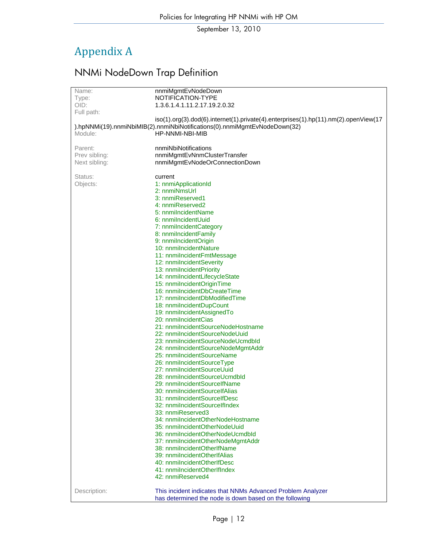# <span id="page-11-0"></span>Appendix A

# NNMi NodeDown Trap Definition

<span id="page-11-3"></span><span id="page-11-2"></span><span id="page-11-1"></span>

| Name:         | nnmiMgmtEvNodeDown                                                                           |
|---------------|----------------------------------------------------------------------------------------------|
| Type:         | NOTIFICATION-TYPE                                                                            |
| OID:          | 1.3.6.1.4.1.11.2.17.19.2.0.32                                                                |
| Full path:    |                                                                                              |
|               | iso(1).org(3).dod(6).internet(1).private(4).enterprises(1).hp(11).nm(2).openView(17          |
|               | ).hpNNMi(19).nnmiNbiMIB(2).nnmiNbiNotifications(0).nnmiMgmtEvNodeDown(32)<br>HP-NNMI-NBI-MIB |
| Module:       |                                                                                              |
| Parent:       | nnmiNbiNotifications                                                                         |
| Prev sibling: | nnmiMgmtEvNnmClusterTransfer                                                                 |
| Next sibling: | nnmiMgmtEvNodeOrConnectionDown                                                               |
|               |                                                                                              |
| Status:       | current                                                                                      |
| Objects:      | 1: nnmiApplicationId                                                                         |
|               | 2: nnmiNmsUrl                                                                                |
|               | 3: nnmiReserved1                                                                             |
|               | 4: nnmiReserved2                                                                             |
|               | 5: nnmilncidentName                                                                          |
|               | 6: nnmilncidentUuid                                                                          |
|               | 7: nnmilncidentCategory                                                                      |
|               | 8: nnmilncidentFamily                                                                        |
|               | 9: nnmilncidentOrigin                                                                        |
|               | 10: nnmilncidentNature                                                                       |
|               | 11: nnmilncidentFmtMessage                                                                   |
|               | 12: nnmilncidentSeverity                                                                     |
|               | 13: nnmilncidentPriority                                                                     |
|               | 14: nnmiIncidentLifecycleState<br>15: nnmilncidentOriginTime                                 |
|               | 16: nnmilncidentDbCreateTime                                                                 |
|               | 17: nnmilncidentDbModifiedTime                                                               |
|               | 18: nnmilncidentDupCount                                                                     |
|               | 19: nnmilncidentAssignedTo                                                                   |
|               | 20: nnmilncidentCias                                                                         |
|               | 21: nnmilncidentSourceNodeHostname                                                           |
|               | 22: nnmilncidentSourceNodeUuid                                                               |
|               | 23: nnmilncidentSourceNodeUcmdbld                                                            |
|               | 24: nnmilncidentSourceNodeMgmtAddr                                                           |
|               | 25: nnmilncidentSourceName                                                                   |
|               | 26: nnmilncidentSourceType                                                                   |
|               | 27: nnmilncidentSourceUuid                                                                   |
|               | 28: nnmilncidentSourceUcmdbld                                                                |
|               | 29: nnmilncidentSourcelfName                                                                 |
|               | 30: nnmilncidentSourcelfAlias                                                                |
|               | 31: nnmilncidentSourcelfDesc                                                                 |
|               | 32: nnmilncidentSourcelfIndex<br>33: nnmiReserved3                                           |
|               | 34: nnmilncidentOtherNodeHostname                                                            |
|               | 35: nnmilncidentOtherNodeUuid                                                                |
|               | 36: nnmiIncidentOtherNodeUcmdbId                                                             |
|               | 37: nnmilncidentOtherNodeMgmtAddr                                                            |
|               | 38: nnmilncidentOtherIfName                                                                  |
|               | 39: nnmilncidentOtherIfAlias                                                                 |
|               | 40: nnmilncidentOtherIfDesc                                                                  |
|               | 41: nnmilncidentOtherIfIndex                                                                 |
|               | 42: nnmiReserved4                                                                            |
|               |                                                                                              |
| Description:  | This incident indicates that NNMs Advanced Problem Analyzer                                  |
|               | has determined the node is down based on the following                                       |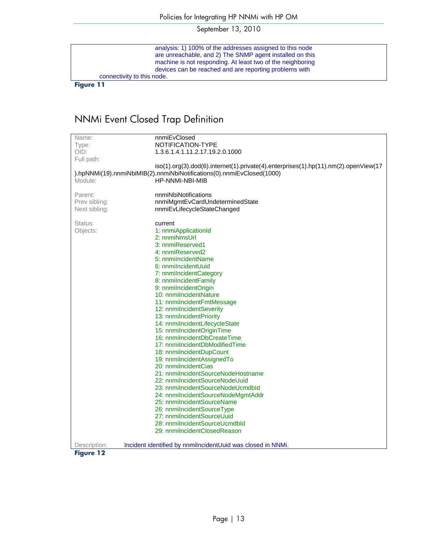analysis: 1) 100% of the addresses assigned to this node are unreachable, and 2) The SNMP agent installed on this machine is not responding. At least two of the neighboring devices can be reached and are reporting problems with connectivity to this node.

**Figure 11** 

## NNMi Event Closed Trap Definition

<span id="page-12-1"></span><span id="page-12-0"></span>

| Name:<br>nnmiEvClosed<br>NOTIFICATION-TYPE<br>Type:<br>OID:<br>1.3.6.1.4.1.11.2.17.19.2.0.1000<br>Full path:<br>iso(1).org(3).dod(6).internet(1).private(4).enterprises(1).hp(11).nm(2).openView(17<br>).hpNNMi(19).nnmiNbiMIB(2).nnmiNbiNotifications(0).nnmiEvClosed(1000)<br>Module:<br>HP-NNMI-NBI-MIB<br>Parent:<br>nnmiNbiNotifications<br>Prev sibling:<br>nnmiMgmtEvCardUndeterminedState<br>Next sibling:<br>nnmiEvLifecycleStateChanged<br>Status:<br>current<br>Objects:<br>1: nnmiApplicationId<br>2: nnmiNmsUrl<br>3: nnmiReserved1<br>4: nnmiReserved2 |
|----------------------------------------------------------------------------------------------------------------------------------------------------------------------------------------------------------------------------------------------------------------------------------------------------------------------------------------------------------------------------------------------------------------------------------------------------------------------------------------------------------------------------------------------------------------------|
|                                                                                                                                                                                                                                                                                                                                                                                                                                                                                                                                                                      |
|                                                                                                                                                                                                                                                                                                                                                                                                                                                                                                                                                                      |
|                                                                                                                                                                                                                                                                                                                                                                                                                                                                                                                                                                      |
|                                                                                                                                                                                                                                                                                                                                                                                                                                                                                                                                                                      |
|                                                                                                                                                                                                                                                                                                                                                                                                                                                                                                                                                                      |
|                                                                                                                                                                                                                                                                                                                                                                                                                                                                                                                                                                      |
|                                                                                                                                                                                                                                                                                                                                                                                                                                                                                                                                                                      |
|                                                                                                                                                                                                                                                                                                                                                                                                                                                                                                                                                                      |
|                                                                                                                                                                                                                                                                                                                                                                                                                                                                                                                                                                      |
|                                                                                                                                                                                                                                                                                                                                                                                                                                                                                                                                                                      |
|                                                                                                                                                                                                                                                                                                                                                                                                                                                                                                                                                                      |
|                                                                                                                                                                                                                                                                                                                                                                                                                                                                                                                                                                      |
|                                                                                                                                                                                                                                                                                                                                                                                                                                                                                                                                                                      |
|                                                                                                                                                                                                                                                                                                                                                                                                                                                                                                                                                                      |
| 5: nnmilncidentName<br>6: nnmilncidentUuid                                                                                                                                                                                                                                                                                                                                                                                                                                                                                                                           |
|                                                                                                                                                                                                                                                                                                                                                                                                                                                                                                                                                                      |
| 7: nnmilncidentCategory                                                                                                                                                                                                                                                                                                                                                                                                                                                                                                                                              |
| 8: nnmilncidentFamily                                                                                                                                                                                                                                                                                                                                                                                                                                                                                                                                                |
| 9: nnmilncidentOrigin                                                                                                                                                                                                                                                                                                                                                                                                                                                                                                                                                |
| 10: nnmilncidentNature                                                                                                                                                                                                                                                                                                                                                                                                                                                                                                                                               |
| 11: nnmilncidentFmtMessage                                                                                                                                                                                                                                                                                                                                                                                                                                                                                                                                           |
| 12: nnmilncidentSeverity                                                                                                                                                                                                                                                                                                                                                                                                                                                                                                                                             |
| 13: nnmilncidentPriority                                                                                                                                                                                                                                                                                                                                                                                                                                                                                                                                             |
| 14: nnmilncidentLifecycleState                                                                                                                                                                                                                                                                                                                                                                                                                                                                                                                                       |
| 15: nnmilncidentOriginTime                                                                                                                                                                                                                                                                                                                                                                                                                                                                                                                                           |
| 16: nnmilncidentDbCreateTime                                                                                                                                                                                                                                                                                                                                                                                                                                                                                                                                         |
| 17: nnmiIncidentDbModifiedTime                                                                                                                                                                                                                                                                                                                                                                                                                                                                                                                                       |
| 18: nnmilncidentDupCount                                                                                                                                                                                                                                                                                                                                                                                                                                                                                                                                             |
| 19: nnmilncidentAssignedTo                                                                                                                                                                                                                                                                                                                                                                                                                                                                                                                                           |
| 20: nnmilncidentCias                                                                                                                                                                                                                                                                                                                                                                                                                                                                                                                                                 |
| 21: nnmilncidentSourceNodeHostname                                                                                                                                                                                                                                                                                                                                                                                                                                                                                                                                   |
| 22: nnmiIncidentSourceNodeUuid                                                                                                                                                                                                                                                                                                                                                                                                                                                                                                                                       |
| 23: nnmilncidentSourceNodeUcmdbld                                                                                                                                                                                                                                                                                                                                                                                                                                                                                                                                    |
| 24: nnmilncidentSourceNodeMgmtAddr                                                                                                                                                                                                                                                                                                                                                                                                                                                                                                                                   |
| 25: nnmilncidentSourceName                                                                                                                                                                                                                                                                                                                                                                                                                                                                                                                                           |
| 26: nnmilncidentSourceType                                                                                                                                                                                                                                                                                                                                                                                                                                                                                                                                           |
| 27: nnmilncidentSourceUuid                                                                                                                                                                                                                                                                                                                                                                                                                                                                                                                                           |
| 28: nnmilncidentSourceUcmdbld                                                                                                                                                                                                                                                                                                                                                                                                                                                                                                                                        |
| 29: nnmilncidentClosedReason                                                                                                                                                                                                                                                                                                                                                                                                                                                                                                                                         |
| Incident identified by nnmiIncidentUuid was closed in NNMi.<br>Description:                                                                                                                                                                                                                                                                                                                                                                                                                                                                                          |
| <b>Figure 12</b>                                                                                                                                                                                                                                                                                                                                                                                                                                                                                                                                                     |